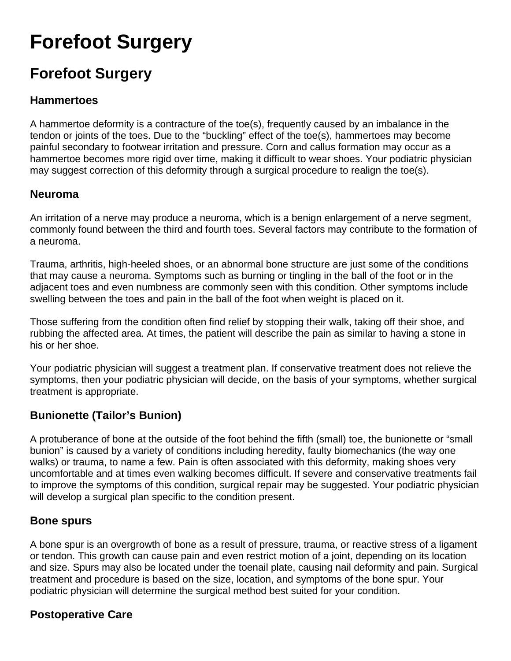# **Forefoot Surgery**

# **Forefoot Surgery**

#### **Hammertoes**

A hammertoe deformity is a contracture of the toe(s), frequently caused by an imbalance in the tendon or joints of the toes. Due to the "buckling" effect of the toe(s), hammertoes may become painful secondary to footwear irritation and pressure. Corn and callus formation may occur as a hammertoe becomes more rigid over time, making it difficult to wear shoes. Your podiatric physician may suggest correction of this deformity through a surgical procedure to realign the toe(s).

#### **Neuroma**

An irritation of a nerve may produce a neuroma, which is a benign enlargement of a nerve segment, commonly found between the third and fourth toes. Several factors may contribute to the formation of a neuroma.

Trauma, arthritis, high-heeled shoes, or an abnormal bone structure are just some of the conditions that may cause a neuroma. Symptoms such as burning or tingling in the ball of the foot or in the adjacent toes and even numbness are commonly seen with this condition. Other symptoms include swelling between the toes and pain in the ball of the foot when weight is placed on it.

Those suffering from the condition often find relief by stopping their walk, taking off their shoe, and rubbing the affected area. At times, the patient will describe the pain as similar to having a stone in his or her shoe.

Your podiatric physician will suggest a treatment plan. If conservative treatment does not relieve the symptoms, then your podiatric physician will decide, on the basis of your symptoms, whether surgical treatment is appropriate.

### **Bunionette (Tailor's Bunion)**

A protuberance of bone at the outside of the foot behind the fifth (small) toe, the bunionette or "small bunion" is caused by a variety of conditions including heredity, faulty biomechanics (the way one walks) or trauma, to name a few. Pain is often associated with this deformity, making shoes very uncomfortable and at times even walking becomes difficult. If severe and conservative treatments fail to improve the symptoms of this condition, surgical repair may be suggested. Your podiatric physician will develop a surgical plan specific to the condition present.

#### **Bone spurs**

A bone spur is an overgrowth of bone as a result of pressure, trauma, or reactive stress of a ligament or tendon. This growth can cause pain and even restrict motion of a joint, depending on its location and size. Spurs may also be located under the toenail plate, causing nail deformity and pain. Surgical treatment and procedure is based on the size, location, and symptoms of the bone spur. Your podiatric physician will determine the surgical method best suited for your condition.

### **Postoperative Care**